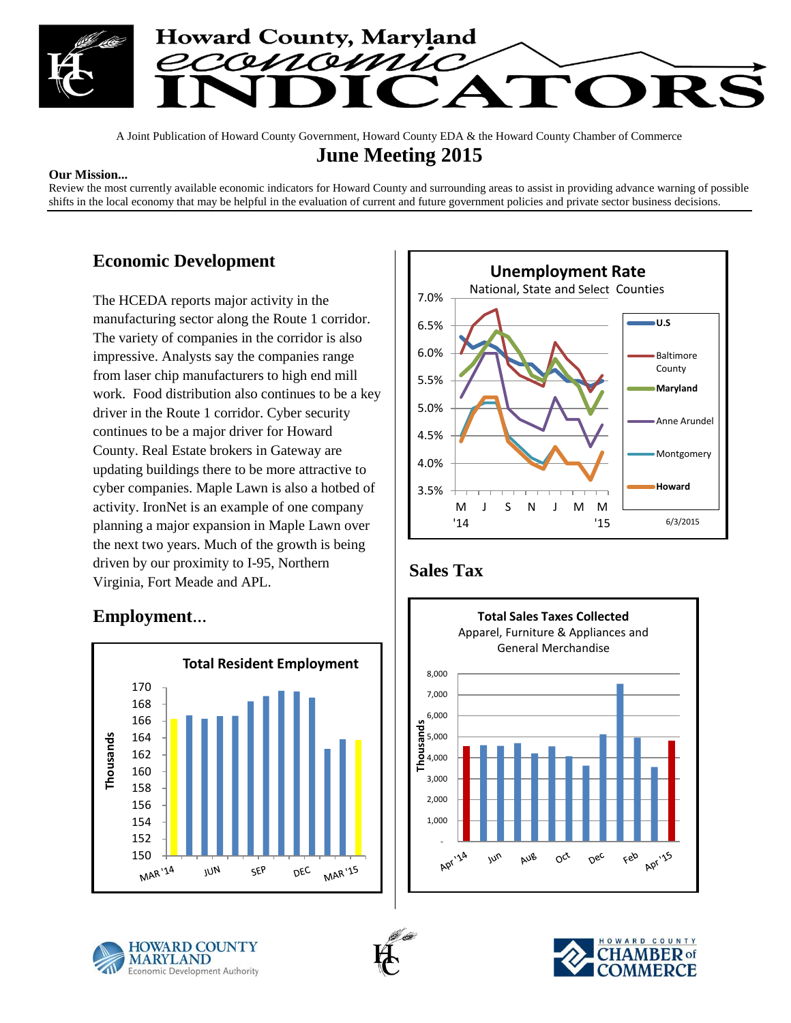

A Joint Publication of Howard County Government, Howard County EDA & the Howard County Chamber of Commerce

### **June Meeting 2015**

#### **Our Mission...**

Review the most currently available economic indicators for Howard County and surrounding areas to assist in providing advance warning of possible shifts in the local economy that may be helpful in the evaluation of current and future government policies and private sector business decisions.

#### **Economic Development**

The HCEDA reports major activity in the manufacturing sector along the Route 1 corridor. The variety of companies in the corridor is also impressive. Analysts say the companies range from laser chip manufacturers to high end mill work. Food distribution also continues to be a key driver in the Route 1 corridor. Cyber security continues to be a major driver for Howard County. Real Estate brokers in Gateway are updating buildings there to be more attractive to cyber companies. Maple Lawn is also a hotbed of activity. IronNet is an example of one company planning a major expansion in Maple Lawn over the next two years. Much of the growth is being driven by our proximity to I-95, Northern Virginia, Fort Meade and APL.







## **Sales Tax**







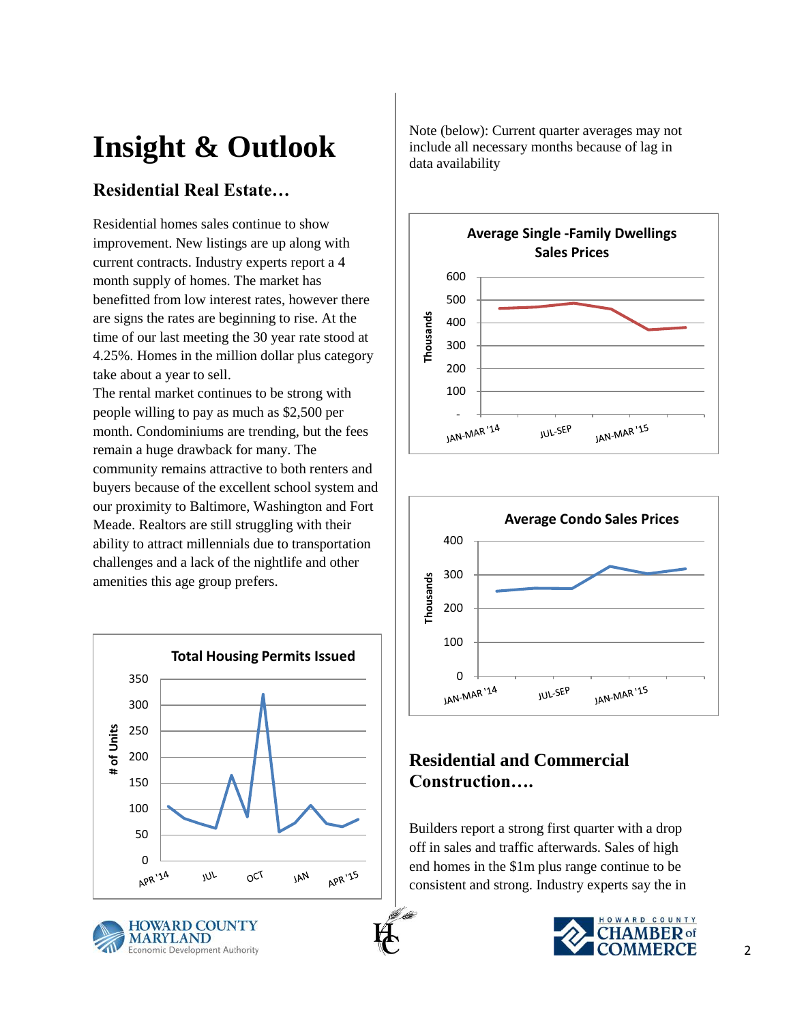# **Insight & Outlook**

# **Residential Real Estate…**

Residential homes sales continue to show improvement. New listings are up along with current contracts. Industry experts report a 4 month supply of homes. The market has benefitted from low interest rates, however there are signs the rates are beginning to rise. At the time of our last meeting the 30 year rate stood at 4.25%. Homes in the million dollar plus category take about a year to sell.

The rental market continues to be strong with people willing to pay as much as \$2,500 per month. Condominiums are trending, but the fees remain a huge drawback for many. The community remains attractive to both renters and buyers because of the excellent school system and our proximity to Baltimore, Washington and Fort Meade. Realtors are still struggling with their ability to attract millennials due to transportation challenges and a lack of the nightlife and other amenities this age group prefers.





Note (below): Current quarter averages may not include all necessary months because of lag in data availability





## **Residential and Commercial Construction….**

Builders report a strong first quarter with a drop off in sales and traffic afterwards. Sales of high end homes in the \$1m plus range continue to be consistent and strong. Industry experts say the in

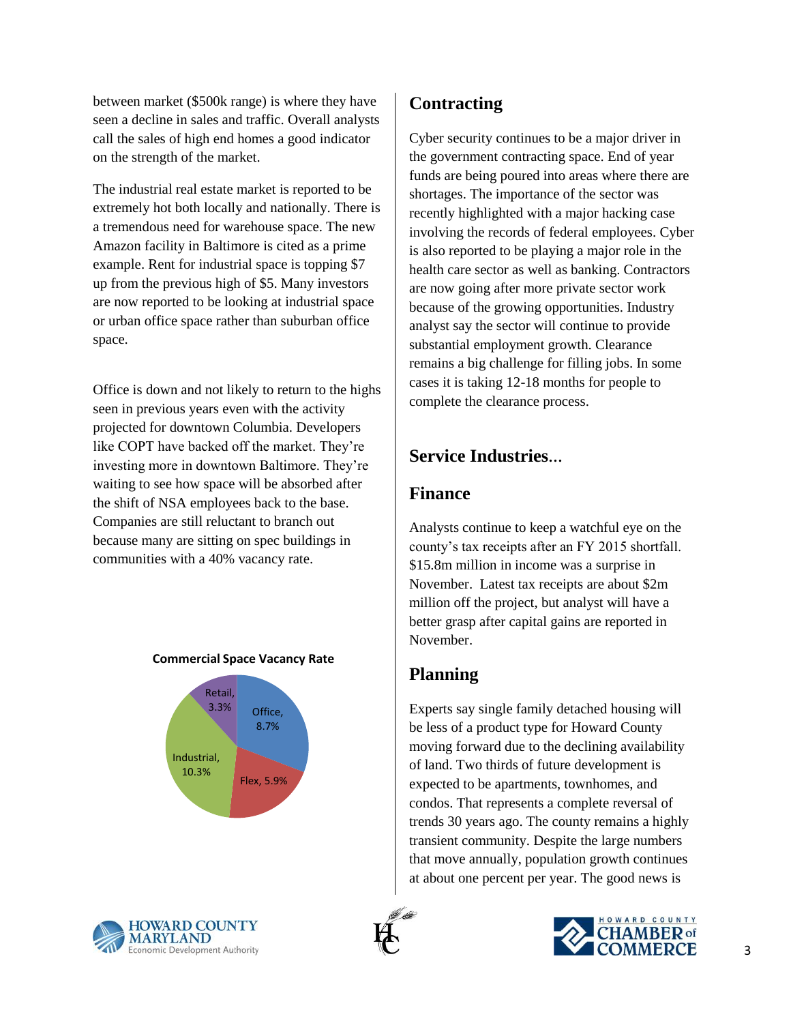between market (\$500k range) is where they have seen a decline in sales and traffic. Overall analysts call the sales of high end homes a good indicator on the strength of the market.

The industrial real estate market is reported to be extremely hot both locally and nationally. There is a tremendous need for warehouse space. The new Amazon facility in Baltimore is cited as a prime example. Rent for industrial space is topping \$7 up from the previous high of \$5. Many investors are now reported to be looking at industrial space or urban office space rather than suburban office space.

Office is down and not likely to return to the highs seen in previous years even with the activity projected for downtown Columbia. Developers like COPT have backed off the market. They're investing more in downtown Baltimore. They're waiting to see how space will be absorbed after the shift of NSA employees back to the base. Companies are still reluctant to branch out because many are sitting on spec buildings in communities with a 40% vacancy rate.

#### **Commercial Space Vacancy Rate**





## **Contracting**

Cyber security continues to be a major driver in the government contracting space. End of year funds are being poured into areas where there are shortages. The importance of the sector was recently highlighted with a major hacking case involving the records of federal employees. Cyber is also reported to be playing a major role in the health care sector as well as banking. Contractors are now going after more private sector work because of the growing opportunities. Industry analyst say the sector will continue to provide substantial employment growth. Clearance remains a big challenge for filling jobs. In some cases it is taking 12-18 months for people to complete the clearance process.

## **Service Industries…**

#### **Finance**

Analysts continue to keep a watchful eye on the county's tax receipts after an FY 2015 shortfall. \$15.8m million in income was a surprise in November. Latest tax receipts are about \$2m million off the project, but analyst will have a better grasp after capital gains are reported in November.

## **Planning**

Experts say single family detached housing will be less of a product type for Howard County moving forward due to the declining availability of land. Two thirds of future development is expected to be apartments, townhomes, and condos. That represents a complete reversal of trends 30 years ago. The county remains a highly transient community. Despite the large numbers that move annually, population growth continues at about one percent per year. The good news is



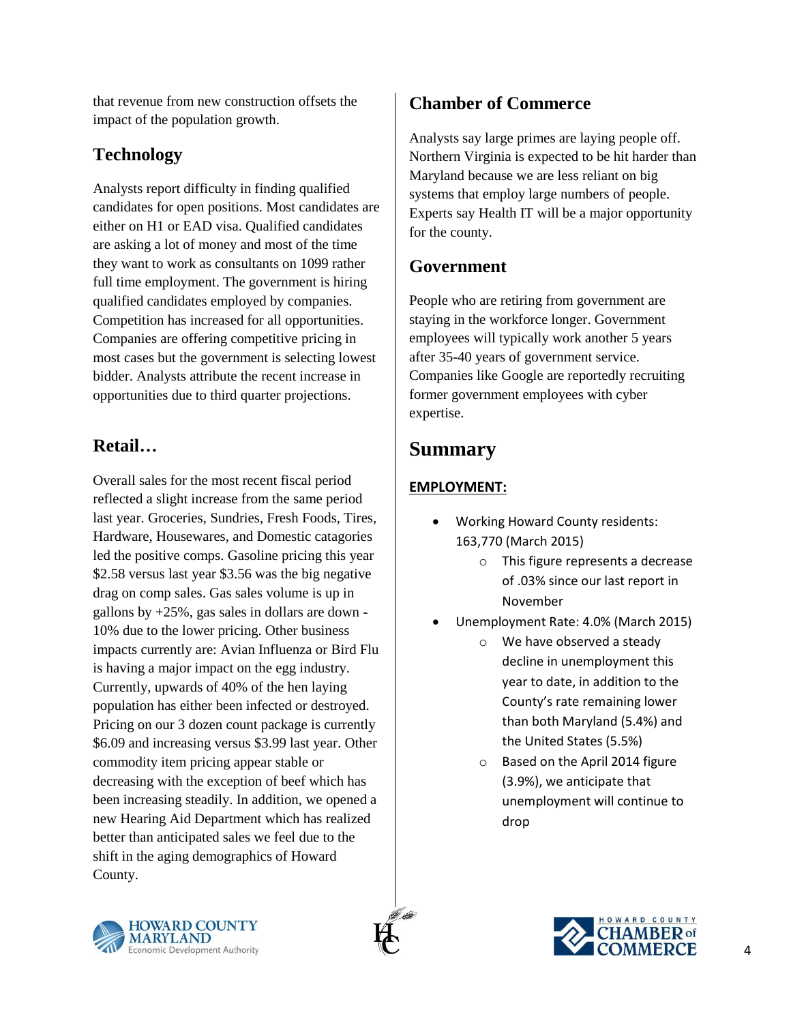that revenue from new construction offsets the impact of the population growth.

## **Technology**

Analysts report difficulty in finding qualified candidates for open positions. Most candidates are either on H1 or EAD visa. Qualified candidates are asking a lot of money and most of the time they want to work as consultants on 1099 rather full time employment. The government is hiring qualified candidates employed by companies. Competition has increased for all opportunities. Companies are offering competitive pricing in most cases but the government is selecting lowest bidder. Analysts attribute the recent increase in opportunities due to third quarter projections.

## **Retail…**

Overall sales for the most recent fiscal period reflected a slight increase from the same period last year. Groceries, Sundries, Fresh Foods, Tires, Hardware, Housewares, and Domestic catagories led the positive comps. Gasoline pricing this year \$2.58 versus last year \$3.56 was the big negative drag on comp sales. Gas sales volume is up in gallons by +25%, gas sales in dollars are down - 10% due to the lower pricing. Other business impacts currently are: Avian Influenza or Bird Flu is having a major impact on the egg industry. Currently, upwards of 40% of the hen laying population has either been infected or destroyed. Pricing on our 3 dozen count package is currently \$6.09 and increasing versus \$3.99 last year. Other commodity item pricing appear stable or decreasing with the exception of beef which has been increasing steadily. In addition, we opened a new Hearing Aid Department which has realized better than anticipated sales we feel due to the shift in the aging demographics of Howard County.

## **Chamber of Commerce**

Analysts say large primes are laying people off. Northern Virginia is expected to be hit harder than Maryland because we are less reliant on big systems that employ large numbers of people. Experts say Health IT will be a major opportunity for the county.

## **Government**

People who are retiring from government are staying in the workforce longer. Government employees will typically work another 5 years after 35-40 years of government service. Companies like Google are reportedly recruiting former government employees with cyber expertise.

## **Summary**

#### **EMPLOYMENT:**

- Working Howard County residents: 163,770 (March 2015)
	- o This figure represents a decrease of .03% since our last report in November
- Unemployment Rate: 4.0% (March 2015)
	- o We have observed a steady decline in unemployment this year to date, in addition to the County's rate remaining lower than both Maryland (5.4%) and the United States (5.5%)
	- o Based on the April 2014 figure (3.9%), we anticipate that unemployment will continue to drop



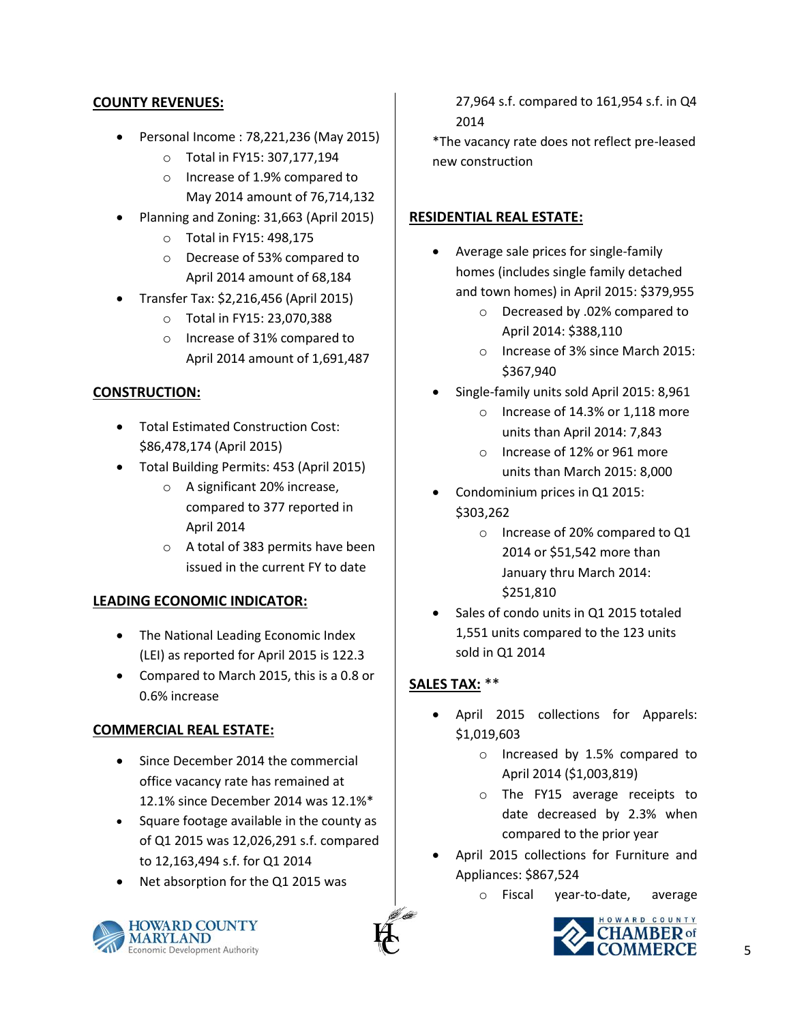#### **COUNTY REVENUES:**

- Personal Income : 78,221,236 (May 2015)
	- o Total in FY15: 307,177,194
	- o Increase of 1.9% compared to May 2014 amount of 76,714,132
- Planning and Zoning: 31,663 (April 2015)
	- o Total in FY15: 498,175
	- o Decrease of 53% compared to April 2014 amount of 68,184
- Transfer Tax: \$2,216,456 (April 2015)
	- o Total in FY15: 23,070,388
	- o Increase of 31% compared to April 2014 amount of 1,691,487

#### **CONSTRUCTION:**

- Total Estimated Construction Cost: \$86,478,174 (April 2015)
- Total Building Permits: 453 (April 2015)
	- o A significant 20% increase, compared to 377 reported in April 2014
	- o A total of 383 permits have been issued in the current FY to date

#### **LEADING ECONOMIC INDICATOR:**

- The National Leading Economic Index (LEI) as reported for April 2015 is 122.3
- Compared to March 2015, this is a 0.8 or 0.6% increase

#### **COMMERCIAL REAL ESTATE:**

- Since December 2014 the commercial office vacancy rate has remained at 12.1% since December 2014 was 12.1%\*
- Square footage available in the county as of Q1 2015 was 12,026,291 s.f. compared to 12,163,494 s.f. for Q1 2014
- Net absorption for the Q1 2015 was



\*The vacancy rate does not reflect pre-leased new construction

#### **RESIDENTIAL REAL ESTATE:**

- Average sale prices for single-family homes (includes single family detached and town homes) in April 2015: \$379,955
	- o Decreased by .02% compared to April 2014: \$388,110
	- o Increase of 3% since March 2015: \$367,940
- Single-family units sold April 2015: 8,961
	- o Increase of 14.3% or 1,118 more units than April 2014: 7,843
	- o Increase of 12% or 961 more units than March 2015: 8,000
- Condominium prices in Q1 2015: \$303,262
	- o Increase of 20% compared to Q1 2014 or \$51,542 more than January thru March 2014: \$251,810
- Sales of condo units in Q1 2015 totaled 1,551 units compared to the 123 units sold in Q1 2014

#### **SALES TAX:** \*\*

- April 2015 collections for Apparels: \$1,019,603
	- o Increased by 1.5% compared to April 2014 (\$1,003,819)
	- o The FY15 average receipts to date decreased by 2.3% when compared to the prior year
- April 2015 collections for Furniture and Appliances: \$867,524
	- o Fiscal year-to-date, average